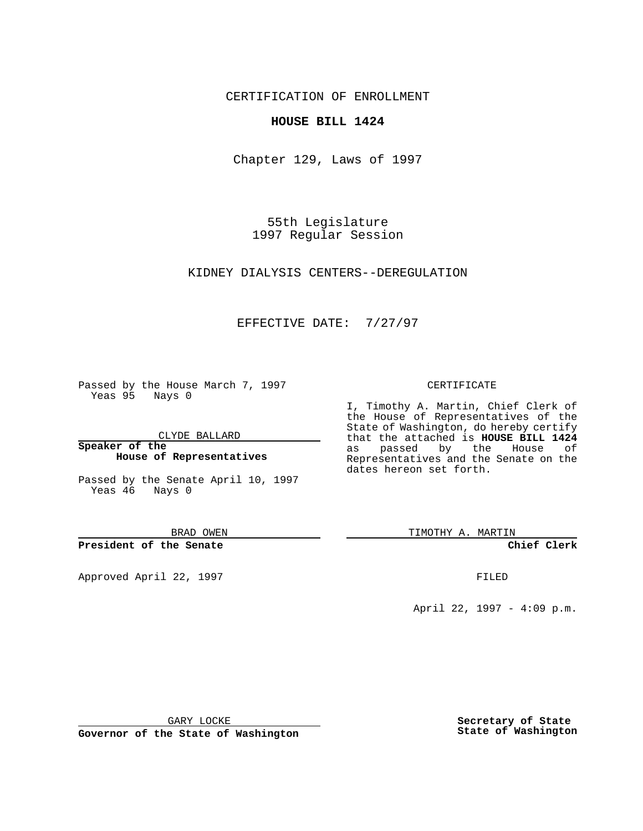CERTIFICATION OF ENROLLMENT

## **HOUSE BILL 1424**

Chapter 129, Laws of 1997

55th Legislature 1997 Regular Session

KIDNEY DIALYSIS CENTERS--DEREGULATION

## EFFECTIVE DATE: 7/27/97

Passed by the House March 7, 1997 Yeas 95 Nays 0

CLYDE BALLARD

**Speaker of the House of Representatives**

Passed by the Senate April 10, 1997 Yeas 46 Nays 0

BRAD OWEN

**President of the Senate**

Approved April 22, 1997 **FILED** 

## CERTIFICATE

I, Timothy A. Martin, Chief Clerk of the House of Representatives of the State of Washington, do hereby certify that the attached is **HOUSE BILL 1424** as passed by the House of Representatives and the Senate on the dates hereon set forth.

TIMOTHY A. MARTIN

**Chief Clerk**

April 22, 1997 - 4:09 p.m.

GARY LOCKE

**Governor of the State of Washington**

**Secretary of State State of Washington**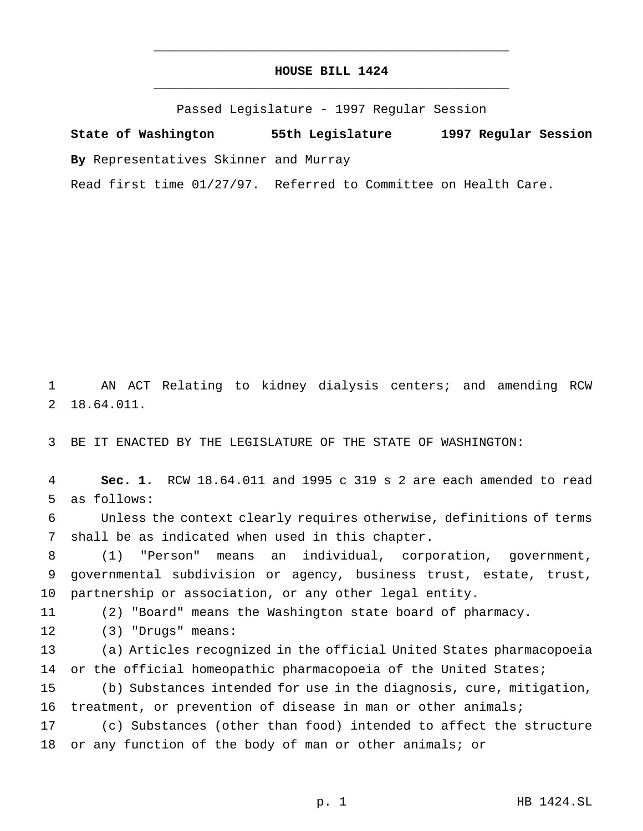## **HOUSE BILL 1424** \_\_\_\_\_\_\_\_\_\_\_\_\_\_\_\_\_\_\_\_\_\_\_\_\_\_\_\_\_\_\_\_\_\_\_\_\_\_\_\_\_\_\_\_\_\_\_

\_\_\_\_\_\_\_\_\_\_\_\_\_\_\_\_\_\_\_\_\_\_\_\_\_\_\_\_\_\_\_\_\_\_\_\_\_\_\_\_\_\_\_\_\_\_\_

Passed Legislature - 1997 Regular Session

**State of Washington 55th Legislature 1997 Regular Session By** Representatives Skinner and Murray

Read first time 01/27/97. Referred to Committee on Health Care.

 AN ACT Relating to kidney dialysis centers; and amending RCW 18.64.011.

BE IT ENACTED BY THE LEGISLATURE OF THE STATE OF WASHINGTON:

 **Sec. 1.** RCW 18.64.011 and 1995 c 319 s 2 are each amended to read as follows:

 Unless the context clearly requires otherwise, definitions of terms shall be as indicated when used in this chapter.

 (1) "Person" means an individual, corporation, government, governmental subdivision or agency, business trust, estate, trust, partnership or association, or any other legal entity.

(2) "Board" means the Washington state board of pharmacy.

(3) "Drugs" means:

 (a) Articles recognized in the official United States pharmacopoeia 14 or the official homeopathic pharmacopoeia of the United States;

 (b) Substances intended for use in the diagnosis, cure, mitigation, treatment, or prevention of disease in man or other animals;

 (c) Substances (other than food) intended to affect the structure or any function of the body of man or other animals; or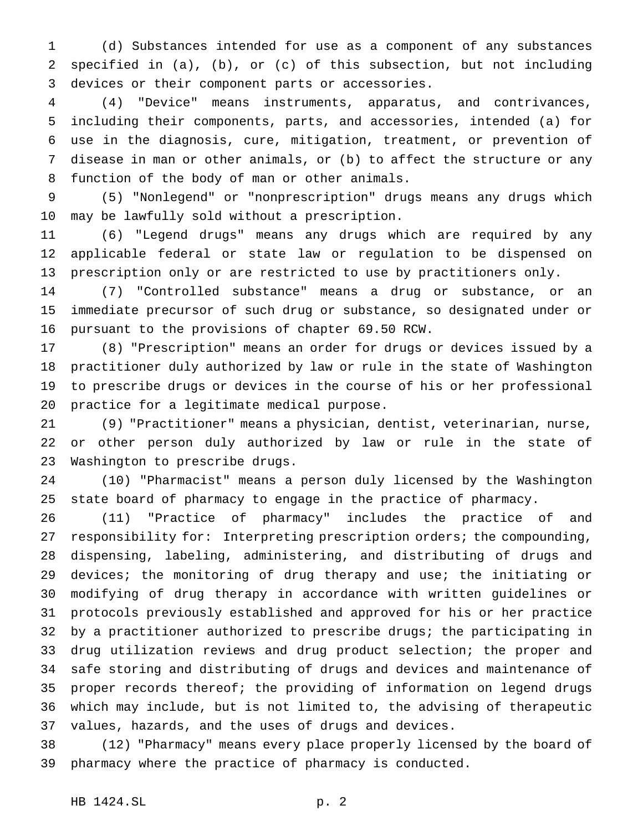(d) Substances intended for use as a component of any substances specified in (a), (b), or (c) of this subsection, but not including devices or their component parts or accessories.

 (4) "Device" means instruments, apparatus, and contrivances, including their components, parts, and accessories, intended (a) for use in the diagnosis, cure, mitigation, treatment, or prevention of disease in man or other animals, or (b) to affect the structure or any function of the body of man or other animals.

 (5) "Nonlegend" or "nonprescription" drugs means any drugs which may be lawfully sold without a prescription.

 (6) "Legend drugs" means any drugs which are required by any applicable federal or state law or regulation to be dispensed on prescription only or are restricted to use by practitioners only.

 (7) "Controlled substance" means a drug or substance, or an immediate precursor of such drug or substance, so designated under or pursuant to the provisions of chapter 69.50 RCW.

 (8) "Prescription" means an order for drugs or devices issued by a practitioner duly authorized by law or rule in the state of Washington to prescribe drugs or devices in the course of his or her professional practice for a legitimate medical purpose.

 (9) "Practitioner" means a physician, dentist, veterinarian, nurse, or other person duly authorized by law or rule in the state of Washington to prescribe drugs.

 (10) "Pharmacist" means a person duly licensed by the Washington state board of pharmacy to engage in the practice of pharmacy.

 (11) "Practice of pharmacy" includes the practice of and responsibility for: Interpreting prescription orders; the compounding, dispensing, labeling, administering, and distributing of drugs and 29 devices; the monitoring of drug therapy and use; the initiating or modifying of drug therapy in accordance with written guidelines or protocols previously established and approved for his or her practice by a practitioner authorized to prescribe drugs; the participating in drug utilization reviews and drug product selection; the proper and safe storing and distributing of drugs and devices and maintenance of proper records thereof; the providing of information on legend drugs which may include, but is not limited to, the advising of therapeutic values, hazards, and the uses of drugs and devices.

 (12) "Pharmacy" means every place properly licensed by the board of pharmacy where the practice of pharmacy is conducted.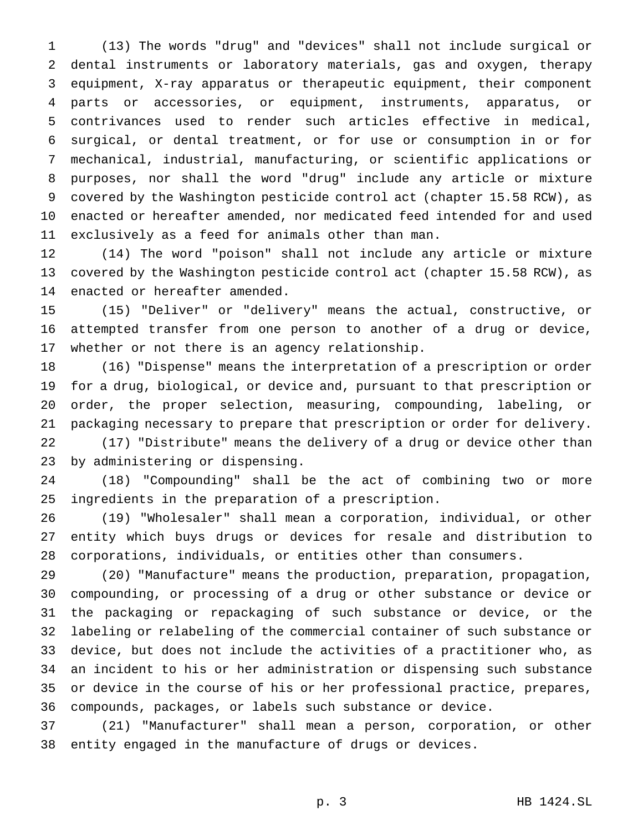(13) The words "drug" and "devices" shall not include surgical or dental instruments or laboratory materials, gas and oxygen, therapy equipment, X-ray apparatus or therapeutic equipment, their component parts or accessories, or equipment, instruments, apparatus, or contrivances used to render such articles effective in medical, surgical, or dental treatment, or for use or consumption in or for mechanical, industrial, manufacturing, or scientific applications or purposes, nor shall the word "drug" include any article or mixture covered by the Washington pesticide control act (chapter 15.58 RCW), as enacted or hereafter amended, nor medicated feed intended for and used exclusively as a feed for animals other than man.

 (14) The word "poison" shall not include any article or mixture covered by the Washington pesticide control act (chapter 15.58 RCW), as enacted or hereafter amended.

 (15) "Deliver" or "delivery" means the actual, constructive, or attempted transfer from one person to another of a drug or device, whether or not there is an agency relationship.

 (16) "Dispense" means the interpretation of a prescription or order for a drug, biological, or device and, pursuant to that prescription or order, the proper selection, measuring, compounding, labeling, or packaging necessary to prepare that prescription or order for delivery.

 (17) "Distribute" means the delivery of a drug or device other than by administering or dispensing.

 (18) "Compounding" shall be the act of combining two or more ingredients in the preparation of a prescription.

 (19) "Wholesaler" shall mean a corporation, individual, or other entity which buys drugs or devices for resale and distribution to corporations, individuals, or entities other than consumers.

 (20) "Manufacture" means the production, preparation, propagation, compounding, or processing of a drug or other substance or device or the packaging or repackaging of such substance or device, or the labeling or relabeling of the commercial container of such substance or device, but does not include the activities of a practitioner who, as an incident to his or her administration or dispensing such substance or device in the course of his or her professional practice, prepares, compounds, packages, or labels such substance or device.

 (21) "Manufacturer" shall mean a person, corporation, or other entity engaged in the manufacture of drugs or devices.